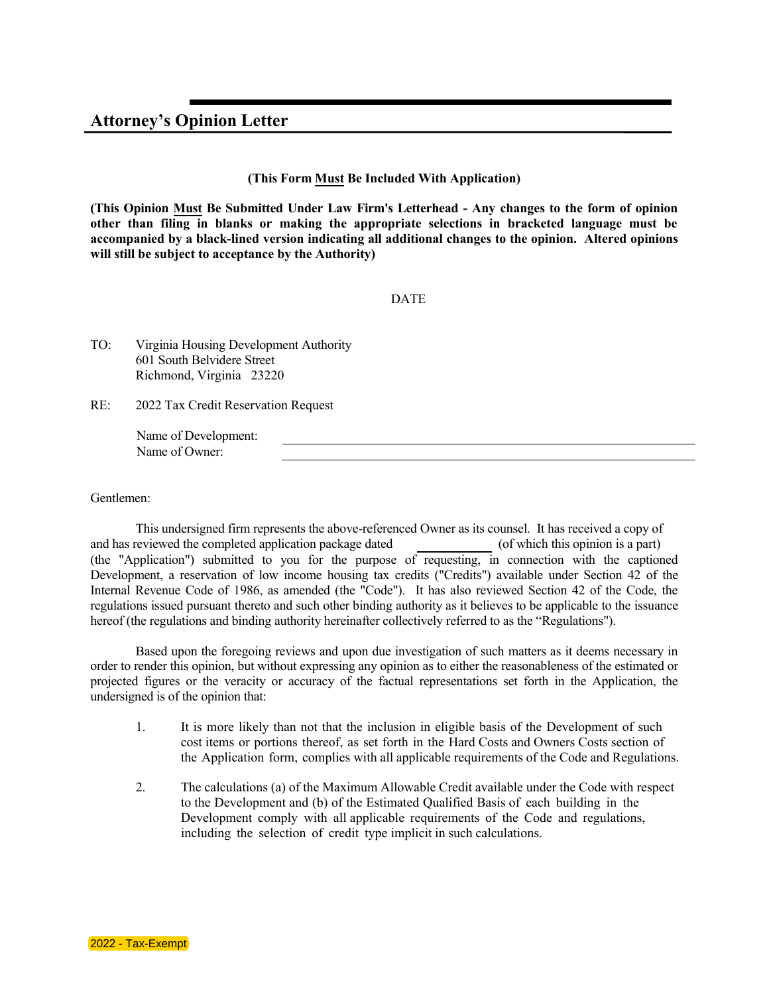## **Attorney's Opinion Letter**

## **(This Form Must Be Included With Application)**

**(This Opinion Must Be Submitted Under Law Firm's Letterhead - Any changes to the form of opinion other than filing in blanks or making the appropriate selections in bracketed language must be accompanied by a black-lined version indicating all additional changes to the opinion. Altered opinions will still be subject to acceptance by the Authority)**

## DATE

TO: Virginia Housing Development Authority 601 South Belvidere Street Richmond, Virginia 23220

RE: 2022 Tax Credit Reservation Request

> Name of Development: Name of Owner:

Gentlemen:

This undersigned firm represents the above-referenced Owner as its counsel. It has received a copy of and has reviewed the completed application package dated (of which this opinion is a part) (the "Application") submitted to you for the purpose of requesting, in connection with the captioned Development, a reservation of low income housing tax credits ("Credits") available under Section 42 of the Internal Revenue Code of 1986, as amended (the "Code"). It has also reviewed Section 42 of the Code, the regulations issued pursuant thereto and such other binding authority as it believes to be applicable to the issuance hereof (the regulations and binding authority hereinafter collectively referred to as the "Regulations").

Based upon the foregoing reviews and upon due investigation of such matters as it deems necessary in order to render this opinion, but without expressing any opinion as to either the reasonableness of the estimated or projected figures or the veracity or accuracy of the factual representations set forth in the Application, the undersigned is of the opinion that:

- 1. It is more likely than not that the inclusion in eligible basis of the Development of such cost items or portions thereof, as set forth in the Hard Costs and Owners Costs section of the Application form, complies with all applicable requirements of the Code and Regulations.
- 2. The calculations (a) of the Maximum Allowable Credit available under the Code with respect to the Development and (b) of the Estimated Qualified Basis of each building in the Development comply with all applicable requirements of the Code and regulations, including the selection of credit type implicit in such calculations.